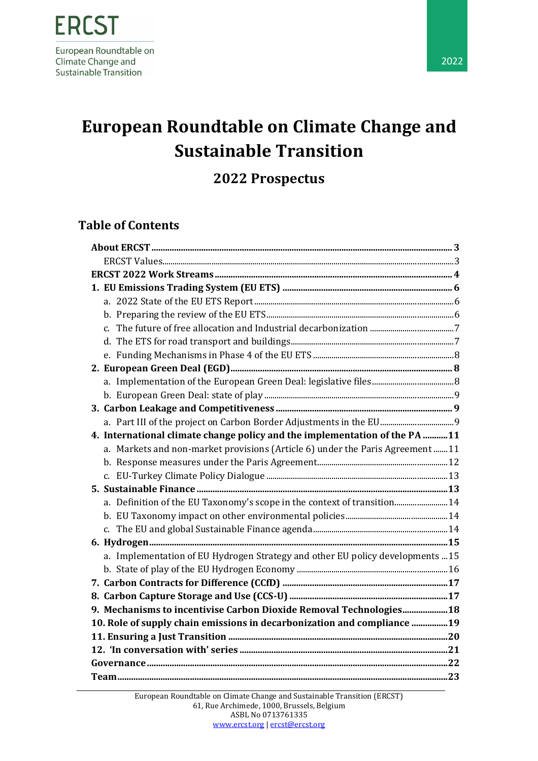**2022 Prospectus**

### **Table of Contents**

| 4. International climate change policy and the implementation of the PA 11     |  |
|--------------------------------------------------------------------------------|--|
| a. Markets and non-market provisions (Article 6) under the Paris Agreement  11 |  |
|                                                                                |  |
|                                                                                |  |
|                                                                                |  |
| a. Definition of the EU Taxonomy's scope in the context of transition 14       |  |
|                                                                                |  |
|                                                                                |  |
|                                                                                |  |
| a. Implementation of EU Hydrogen Strategy and other EU policy developments 15  |  |
|                                                                                |  |
|                                                                                |  |
|                                                                                |  |
| 9. Mechanisms to incentivise Carbon Dioxide Removal Technologies 18            |  |
| 10. Role of supply chain emissions in decarbonization and compliance 19        |  |
|                                                                                |  |
|                                                                                |  |
|                                                                                |  |
|                                                                                |  |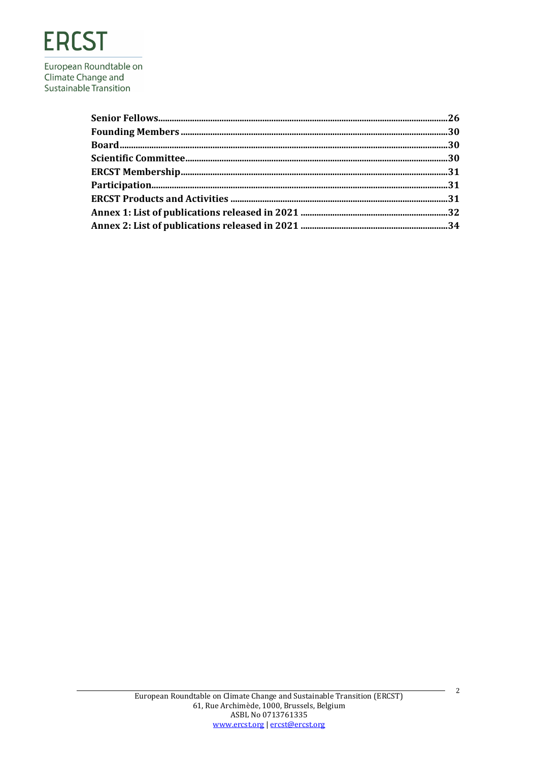# **ERCST**

European Roundtable on Climate Change and Sustainable Transition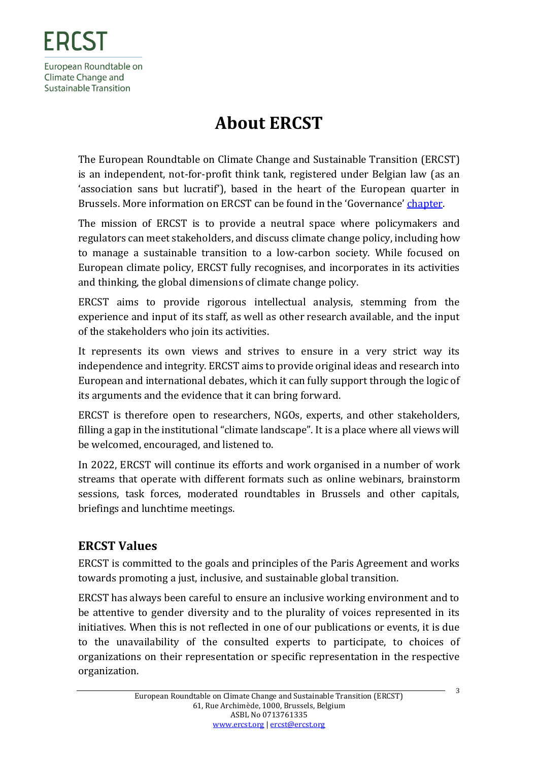# **About ERCST**

<span id="page-2-0"></span>The European Roundtable on Climate Change and Sustainable Transition (ERCST) is an independent, not-for-profit think tank, registered under Belgian law (as an 'association sans but lucratif'), based in the heart of the European quarter in Brussels. More information on ERCST can be found in the 'Governance' [chapter.](#page-20-1)

The mission of ERCST is to provide a neutral space where policymakers and regulators can meet stakeholders, and discuss climate change policy, including how to manage a sustainable transition to a low-carbon society. While focused on European climate policy, ERCST fully recognises, and incorporates in its activities and thinking, the global dimensions of climate change policy.

ERCST aims to provide rigorous intellectual analysis, stemming from the experience and input of its staff, as well as other research available, and the input of the stakeholders who join its activities.

It represents its own views and strives to ensure in a very strict way its independence and integrity. ERCST aims to provide original ideas and research into European and international debates, which it can fully support through the logic of its arguments and the evidence that it can bring forward.

ERCST is therefore open to researchers, NGOs, experts, and other stakeholders, filling a gap in the institutional "climate landscape". It is a place where all views will be welcomed, encouraged, and listened to.

In 2022, ERCST will continue its efforts and work organised in a number of work streams that operate with different formats such as online webinars, brainstorm sessions, task forces, moderated roundtables in Brussels and other capitals, briefings and lunchtime meetings.

### <span id="page-2-1"></span>**ERCST Values**

ERCST is committed to the goals and principles of the Paris Agreement and works towards promoting a just, inclusive, and sustainable global transition.

ERCST has always been careful to ensure an inclusive working environment and to be attentive to gender diversity and to the plurality of voices represented in its initiatives. When this is not reflected in one of our publications or events, it is due to the unavailability of the consulted experts to participate, to choices of organizations on their representation or specific representation in the respective organization.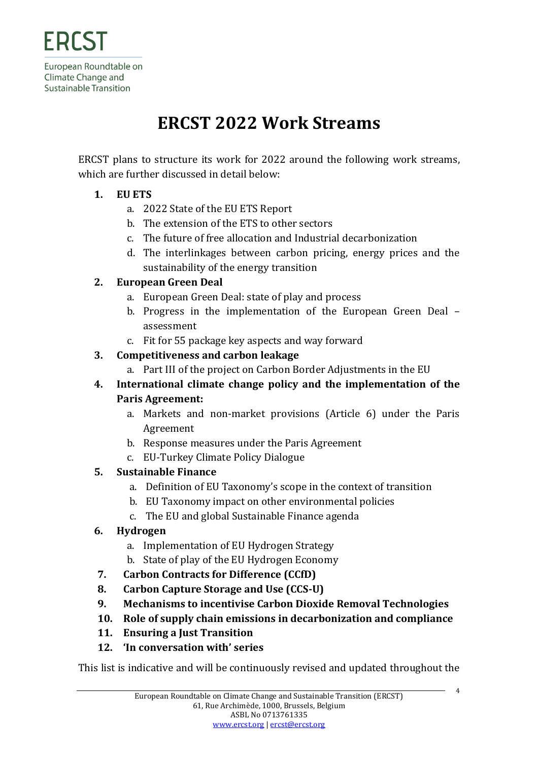# **ERCST 2022 Work Streams**

<span id="page-3-0"></span>ERCST plans to structure its work for 2022 around the following work streams, which are further discussed in detail below:

#### **1. EU ETS**

- a. 2022 State of the EU ETS Report
- b. The extension of the ETS to other sectors
- c. The future of free allocation and Industrial decarbonization
- d. The interlinkages between carbon pricing, energy prices and the sustainability of the energy transition

#### **2. European Green Deal**

- a. European Green Deal: state of play and process
- b. Progress in the implementation of the European Green Deal assessment
- c. Fit for 55 package key aspects and way forward

#### **3. Competitiveness and carbon leakage**

- a. Part III of the project on Carbon Border Adjustments in the EU
- **4. International climate change policy and the implementation of the Paris Agreement:**
	- a. Markets and non-market provisions (Article 6) under the Paris Agreement
	- b. Response measures under the Paris Agreement
	- c. EU-Turkey Climate Policy Dialogue

#### **5. Sustainable Finance**

- a. Definition of EU Taxonomy's scope in the context of transition
- b. EU Taxonomy impact on other environmental policies
- c. The EU and global Sustainable Finance agenda

#### **6. Hydrogen**

- a. Implementation of EU Hydrogen Strategy
- b. State of play of the EU Hydrogen Economy
- **7. Carbon Contracts for Difference (CCfD)**
- **8. Carbon Capture Storage and Use (CCS-U)**
- **9. Mechanisms to incentivise Carbon Dioxide Removal Technologies**
- **10. Role of supply chain emissions in decarbonization and compliance**
- **11. Ensuring a Just Transition**
- **12. 'In conversation with' series**

This list is indicative and will be continuously revised and updated throughout the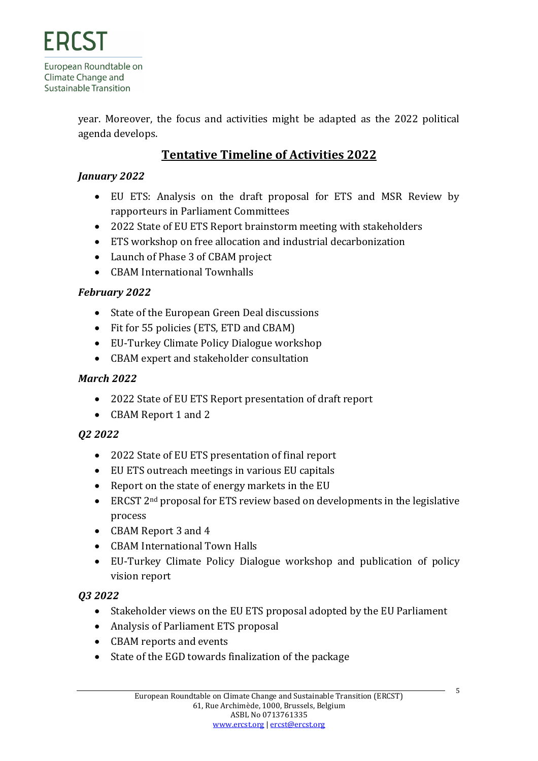year. Moreover, the focus and activities might be adapted as the 2022 political agenda develops.

### **Tentative Timeline of Activities 2022**

#### *January 2022*

- EU ETS: Analysis on the draft proposal for ETS and MSR Review by rapporteurs in Parliament Committees
- 2022 State of EU ETS Report brainstorm meeting with stakeholders
- ETS workshop on free allocation and industrial decarbonization
- Launch of Phase 3 of CBAM project
- CBAM International Townhalls

#### *February 2022*

- State of the European Green Deal discussions
- Fit for 55 policies (ETS, ETD and CBAM)
- EU-Turkey Climate Policy Dialogue workshop
- CBAM expert and stakeholder consultation

#### *March 2022*

- 2022 State of EU ETS Report presentation of draft report
- CBAM Report 1 and 2

#### *Q2 2022*

- 2022 State of EU ETS presentation of final report
- EU ETS outreach meetings in various EU capitals
- Report on the state of energy markets in the EU
- ERCST 2<sup>nd</sup> proposal for ETS review based on developments in the legislative process
- CBAM Report 3 and 4
- CBAM International Town Halls
- EU-Turkey Climate Policy Dialogue workshop and publication of policy vision report

#### *Q3 2022*

- Stakeholder views on the EU ETS proposal adopted by the EU Parliament
- Analysis of Parliament ETS proposal
- CBAM reports and events
- State of the EGD towards finalization of the package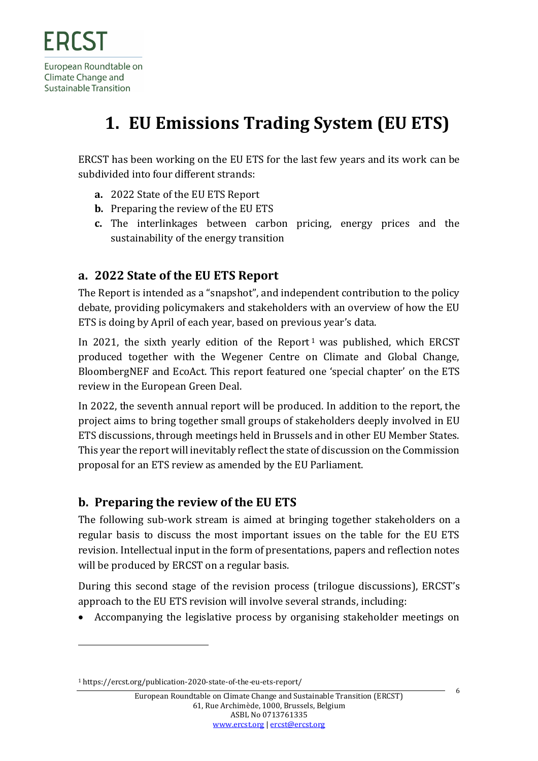# <span id="page-5-0"></span>**1. EU Emissions Trading System (EU ETS)**

ERCST has been working on the EU ETS for the last few years and its work can be subdivided into four different strands:

- **a.** 2022 State of the EU ETS Report
- **b.** Preparing the review of the EU ETS
- **c.** The interlinkages between carbon pricing, energy prices and the sustainability of the energy transition

### <span id="page-5-1"></span>**a. 2022 State of the EU ETS Report**

The Report is intended as a "snapshot", and independent contribution to the policy debate, providing policymakers and stakeholders with an overview of how the EU ETS is doing by April of each year, based on previous year's data.

In 2021, the sixth yearly edition of the Report<sup>1</sup> was published, which ERCST produced together with the Wegener Centre on Climate and Global Change, BloombergNEF and EcoAct. This report featured one 'special chapter' on the ETS review in the European Green Deal.

In 2022, the seventh annual report will be produced. In addition to the report, the project aims to bring together small groups of stakeholders deeply involved in EU ETS discussions, through meetings held in Brussels and in other EU Member States. This year the report will inevitably reflect the state of discussion on the Commission proposal for an ETS review as amended by the EU Parliament.

### <span id="page-5-2"></span>**b. Preparing the review of the EU ETS**

The following sub-work stream is aimed at bringing together stakeholders on a regular basis to discuss the most important issues on the table for the EU ETS revision. Intellectual input in the form of presentations, papers and reflection notes will be produced by ERCST on a regular basis.

During this second stage of the revision process (trilogue discussions), ERCST's approach to the EU ETS revision will involve several strands, including:

• Accompanying the legislative process by organising stakeholder meetings on

6

<sup>1</sup> https://ercst.org/publication-2020-state-of-the-eu-ets-report/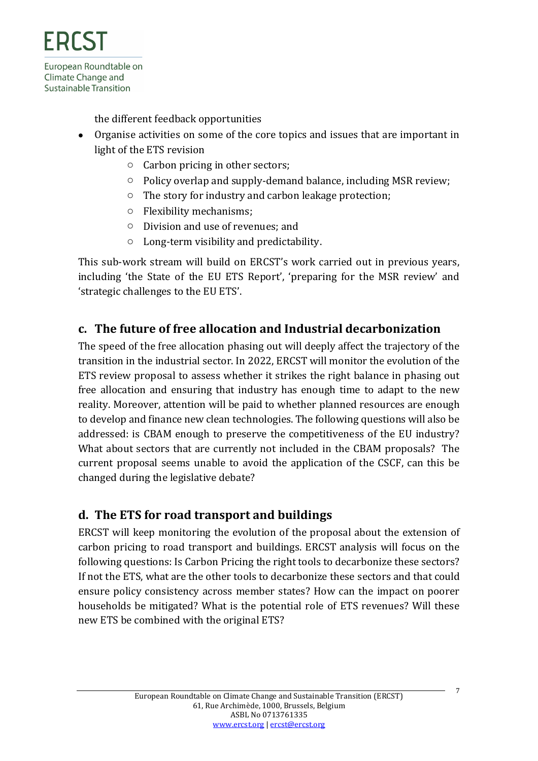the different feedback opportunities

- Organise activities on some of the core topics and issues that are important in light of the ETS revision
	- o Carbon pricing in other sectors;
	- o Policy overlap and supply-demand balance, including MSR review;
	- o The story for industry and carbon leakage protection;
	- o Flexibility mechanisms;
	- o Division and use of revenues; and
	- o Long-term visibility and predictability.

This sub-work stream will build on ERCST's work carried out in previous years, including 'the State of the EU ETS Report', 'preparing for the MSR review' and 'strategic challenges to the EU ETS'.

### <span id="page-6-0"></span>**c. The future of free allocation and Industrial decarbonization**

The speed of the free allocation phasing out will deeply affect the trajectory of the transition in the industrial sector. In 2022, ERCST will monitor the evolution of the ETS review proposal to assess whether it strikes the right balance in phasing out free allocation and ensuring that industry has enough time to adapt to the new reality. Moreover, attention will be paid to whether planned resources are enough to develop and finance new clean technologies. The following questions will also be addressed: is CBAM enough to preserve the competitiveness of the EU industry? What about sectors that are currently not included in the CBAM proposals? The current proposal seems unable to avoid the application of the CSCF, can this be changed during the legislative debate?

### <span id="page-6-1"></span>**d. The ETS for road transport and buildings**

ERCST will keep monitoring the evolution of the proposal about the extension of carbon pricing to road transport and buildings. ERCST analysis will focus on the following questions: Is Carbon Pricing the right tools to decarbonize these sectors? If not the ETS, what are the other tools to decarbonize these sectors and that could ensure policy consistency across member states? How can the impact on poorer households be mitigated? What is the potential role of ETS revenues? Will these new ETS be combined with the original ETS?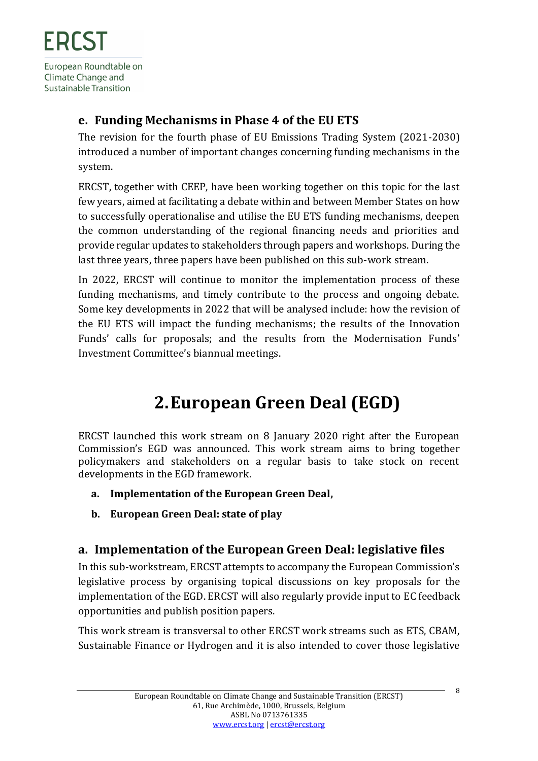### <span id="page-7-0"></span>**e. Funding Mechanisms in Phase 4 of the EU ETS**

The revision for the fourth phase of EU Emissions Trading System (2021-2030) introduced a number of important changes concerning funding mechanisms in the system.

ERCST, together with CEEP, have been working together on this topic for the last few years, aimed at facilitating a debate within and between Member States on how to successfully operationalise and utilise the EU ETS funding mechanisms, deepen the common understanding of the regional financing needs and priorities and provide regular updates to stakeholders through papers and workshops. During the last three years, three papers have been published on this sub-work stream.

In 2022, ERCST will continue to monitor the implementation process of these funding mechanisms, and timely contribute to the process and ongoing debate. Some key developments in 2022 that will be analysed include: how the revision of the EU ETS will impact the funding mechanisms; the results of the Innovation Funds' calls for proposals; and the results from the Modernisation Funds' Investment Committee's biannual meetings.

# **2.European Green Deal (EGD)**

<span id="page-7-1"></span>ERCST launched this work stream on 8 January 2020 right after the European Commission's EGD was announced. This work stream aims to bring together policymakers and stakeholders on a regular basis to take stock on recent developments in the EGD framework.

- **a. Implementation of the European Green Deal,**
- **b. European Green Deal: state of play**

### <span id="page-7-2"></span>**a. Implementation of the European Green Deal: legislative files**

In this sub-workstream, ERCST attempts to accompany the European Commission's legislative process by organising topical discussions on key proposals for the implementation of the EGD. ERCST will also regularly provide input to EC feedback opportunities and publish position papers.

This work stream is transversal to other ERCST work streams such as ETS, CBAM, Sustainable Finance or Hydrogen and it is also intended to cover those legislative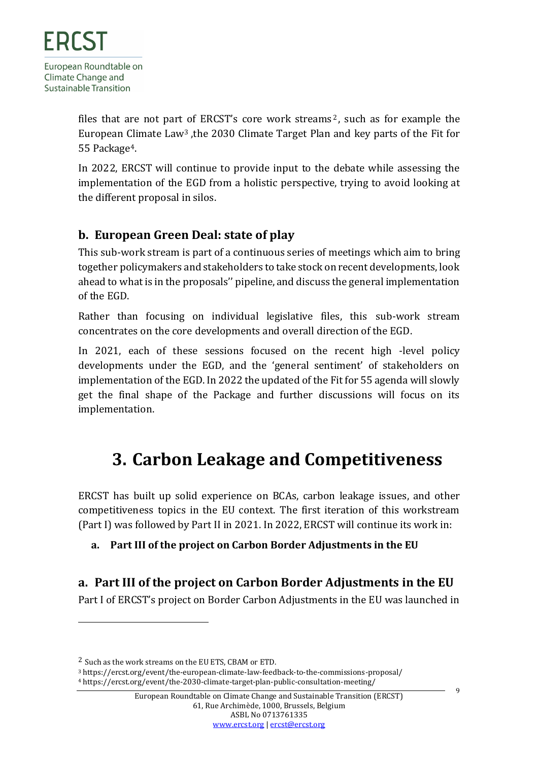files that are not part of ERCST's core work streams <sup>2</sup>, such as for example the European Climate Law<sup>3</sup> ,the 2030 Climate Target Plan and key parts of the Fit for 55 Package4.

In 2022, ERCST will continue to provide input to the debate while assessing the implementation of the EGD from a holistic perspective, trying to avoid looking at the different proposal in silos.

### <span id="page-8-0"></span>**b. European Green Deal: state of play**

This sub-work stream is part of a continuous series of meetings which aim to bring together policymakers and stakeholders to take stock on recent developments, look ahead to what is in the proposals'' pipeline, and discuss the general implementation of the EGD.

Rather than focusing on individual legislative files, this sub-work stream concentrates on the core developments and overall direction of the EGD.

In 2021, each of these sessions focused on the recent high -level policy developments under the EGD, and the 'general sentiment' of stakeholders on implementation of the EGD. In 2022 the updated of the Fit for 55 agenda will slowly get the final shape of the Package and further discussions will focus on its implementation.

## <span id="page-8-1"></span>**3. Carbon Leakage and Competitiveness**

ERCST has built up solid experience on BCAs, carbon leakage issues, and other competitiveness topics in the EU context. The first iteration of this workstream (Part I) was followed by Part II in 2021. In 2022, ERCST will continue its work in:

#### **a. Part III of the project on Carbon Border Adjustments in the EU**

### <span id="page-8-2"></span>**a. Part III of the project on Carbon Border Adjustments in the EU**

Part I of ERCST's project on Border Carbon Adjustments in the EU was launched in

9

<sup>2</sup> Such as the work streams on the EU ETS, CBAM or ETD.

<sup>3</sup> https://ercst.org/event/the-european-climate-law-feedback-to-the-commissions-proposal/ <sup>4</sup> https://ercst.org/event/the-2030-climate-target-plan-public-consultation-meeting/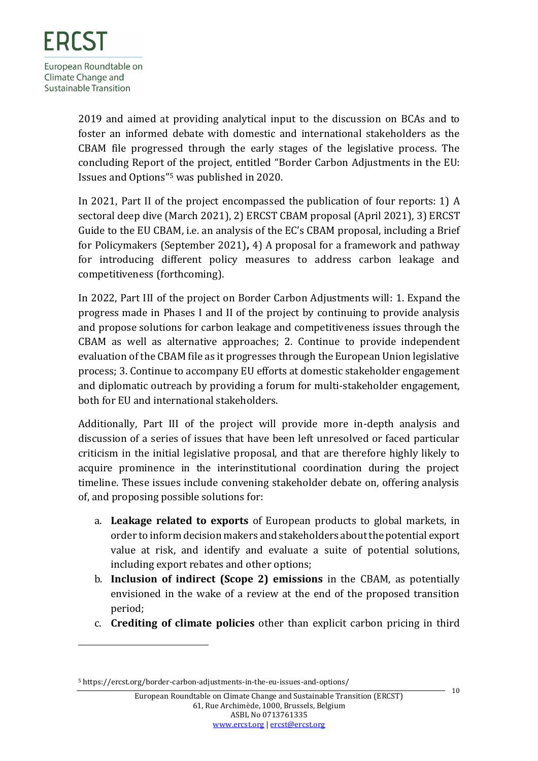2019 and aimed at providing analytical input to the discussion on BCAs and to foster an informed debate with domestic and international stakeholders as the CBAM file progressed through the early stages of the legislative process. The concluding Report of the project, entitled "Border Carbon Adjustments in the EU: Issues and Options" <sup>5</sup> was published in 2020.

In 2021, Part II of the project encompassed the publication of four reports: 1) A sectoral deep dive (March 2021), 2) ERCST CBAM proposal (April 2021), 3) ERCST Guide to the EU CBAM, i.e. an analysis of the EC's CBAM proposal, including a Brief for Policymakers (September 2021)**,** 4) A proposal for a framework and pathway for introducing different policy measures to address carbon leakage and competitiveness (forthcoming).

In 2022, Part III of the project on Border Carbon Adjustments will: 1. Expand the progress made in Phases I and II of the project by continuing to provide analysis and propose solutions for carbon leakage and competitiveness issues through the CBAM as well as alternative approaches; 2. Continue to provide independent evaluation of the CBAM file as it progresses through the European Union legislative process; 3. Continue to accompany EU efforts at domestic stakeholder engagement and diplomatic outreach by providing a forum for multi-stakeholder engagement, both for EU and international stakeholders.

Additionally, Part III of the project will provide more in-depth analysis and discussion of a series of issues that have been left unresolved or faced particular criticism in the initial legislative proposal, and that are therefore highly likely to acquire prominence in the interinstitutional coordination during the project timeline. These issues include convening stakeholder debate on, offering analysis of, and proposing possible solutions for:

- a. **Leakage related to exports** of European products to global markets, in order to inform decision makers and stakeholders about the potential export value at risk, and identify and evaluate a suite of potential solutions, including export rebates and other options;
- b. **Inclusion of indirect (Scope 2) emissions** in the CBAM, as potentially envisioned in the wake of a review at the end of the proposed transition period;
- c. **Crediting of climate policies** other than explicit carbon pricing in third

 $10$ 

<sup>5</sup> https://ercst.org/border-carbon-adjustments-in-the-eu-issues-and-options/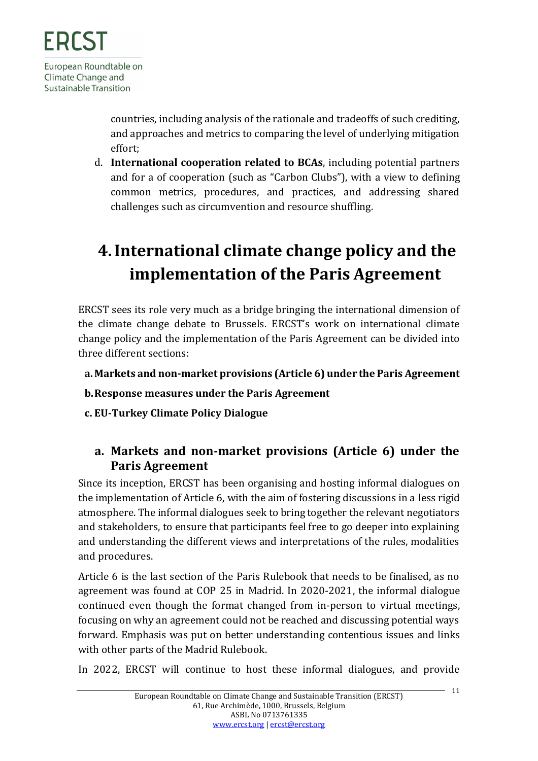countries, including analysis of the rationale and tradeoffs of such crediting, and approaches and metrics to comparing the level of underlying mitigation effort;

d. **International cooperation related to BCAs**, including potential partners and for a of cooperation (such as "Carbon Clubs"), with a view to defining common metrics, procedures, and practices, and addressing shared challenges such as circumvention and resource shuffling.

# <span id="page-10-0"></span>**4.International climate change policy and the implementation of the Paris Agreement**

ERCST sees its role very much as a bridge bringing the international dimension of the climate change debate to Brussels. ERCST's work on international climate change policy and the implementation of the Paris Agreement can be divided into three different sections:

- **a.Markets and non-market provisions (Article 6) under the Paris Agreement**
- **b.Response measures under the Paris Agreement**
- <span id="page-10-1"></span>**c. EU-Turkey Climate Policy Dialogue**

### **a. Markets and non-market provisions (Article 6) under the Paris Agreement**

Since its inception, ERCST has been organising and hosting informal dialogues on the implementation of Article 6, with the aim of fostering discussions in a less rigid atmosphere. The informal dialogues seek to bring together the relevant negotiators and stakeholders, to ensure that participants feel free to go deeper into explaining and understanding the different views and interpretations of the rules, modalities and procedures.

Article 6 is the last section of the Paris Rulebook that needs to be finalised, as no agreement was found at COP 25 in Madrid. In 2020-2021, the informal dialogue continued even though the format changed from in-person to virtual meetings, focusing on why an agreement could not be reached and discussing potential ways forward. Emphasis was put on better understanding contentious issues and links with other parts of the Madrid Rulebook.

In 2022, ERCST will continue to host these informal dialogues, and provide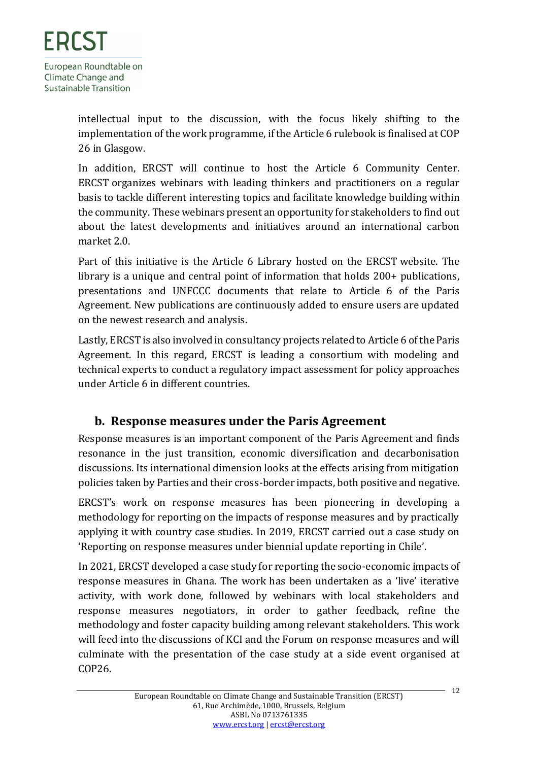intellectual input to the discussion, with the focus likely shifting to the implementation of the work programme, if the Article 6 rulebook is finalised at COP 26 in Glasgow.

In addition, ERCST will continue to host the Article 6 Community Center. ERCST organizes webinars with leading thinkers and practitioners on a regular basis to tackle different interesting topics and facilitate knowledge building within the community. These webinars present an opportunity for stakeholders to find out about the latest developments and initiatives around an international carbon market 2.0.

Part of this initiative is the Article 6 Library hosted on the ERCST website. The library is a unique and central point of information that holds 200+ publications, presentations and UNFCCC documents that relate to Article 6 of the Paris Agreement. New publications are continuously added to ensure users are updated on the newest research and analysis.

Lastly, ERCST is also involved in consultancy projects related to Article 6 of the Paris Agreement. In this regard, ERCST is leading a consortium with modeling and technical experts to conduct a regulatory impact assessment for policy approaches under Article 6 in different countries.

### <span id="page-11-0"></span>**b. Response measures under the Paris Agreement**

Response measures is an important component of the Paris Agreement and finds resonance in the just transition, economic diversification and decarbonisation discussions. Its international dimension looks at the effects arising from mitigation policies taken by Parties and their cross-border impacts, both positive and negative.

ERCST's work on response measures has been pioneering in developing a methodology for reporting on the impacts of response measures and by practically applying it with country case studies. In 2019, ERCST carried out a case study on 'Reporting on response measures under biennial update reporting in Chile'.

In 2021, ERCST developed a case study for reporting the socio-economic impacts of response measures in Ghana. The work has been undertaken as a 'live' iterative activity, with work done, followed by webinars with local stakeholders and response measures negotiators, in order to gather feedback, refine the methodology and foster capacity building among relevant stakeholders. This work will feed into the discussions of KCI and the Forum on response measures and will culminate with the presentation of the case study at a side event organised at COP26.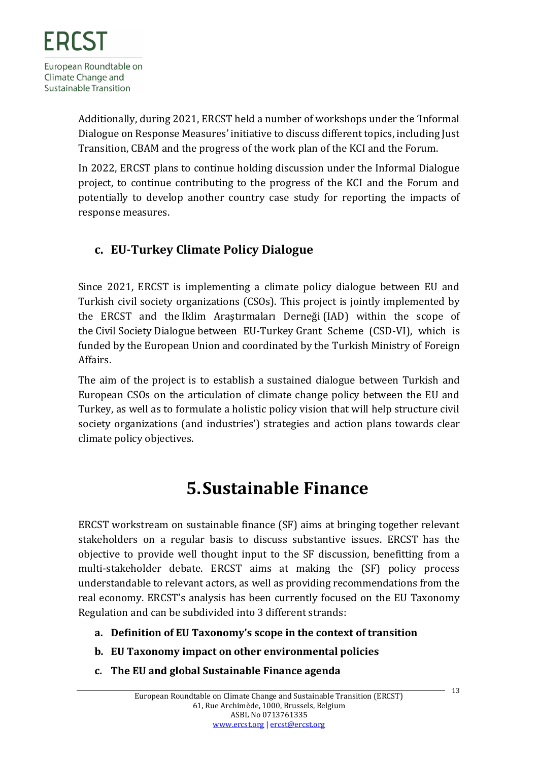Additionally, during 2021, ERCST held a number of workshops under the 'Informal Dialogue on Response Measures' initiative to discuss different topics, including Just Transition, CBAM and the progress of the work plan of the KCI and the Forum.

In 2022, ERCST plans to continue holding discussion under the Informal Dialogue project, to continue contributing to the progress of the KCI and the Forum and potentially to develop another country case study for reporting the impacts of response measures.

### <span id="page-12-0"></span>**c. EU-Turkey Climate Policy Dialogue**

Since 2021, ERCST is implementing a climate policy dialogue between EU and Turkish civil society organizations (CSOs). This project is jointly implemented by the ERCST and the Iklim Araştırmaları Derneği (IAD) within the scope of the Civil Society Dialogue between EU-Turkey Grant Scheme (CSD-VI), which is funded by the European Union and coordinated by the Turkish Ministry of Foreign Affairs.

The aim of the project is to establish a sustained dialogue between Turkish and European CSOs on the articulation of climate change policy between the EU and Turkey, as well as to formulate a holistic policy vision that will help structure civil society organizations (and industries') strategies and action plans towards clear climate policy objectives.

# **5.Sustainable Finance**

<span id="page-12-1"></span>ERCST workstream on sustainable finance (SF) aims at bringing together relevant stakeholders on a regular basis to discuss substantive issues. ERCST has the objective to provide well thought input to the SF discussion, benefitting from a multi-stakeholder debate. ERCST aims at making the (SF) policy process understandable to relevant actors, as well as providing recommendations from the real economy. ERCST's analysis has been currently focused on the EU Taxonomy Regulation and can be subdivided into 3 different strands:

- **a. Definition of EU Taxonomy's scope in the context of transition**
- **b. EU Taxonomy impact on other environmental policies**
- **c. The EU and global Sustainable Finance agenda**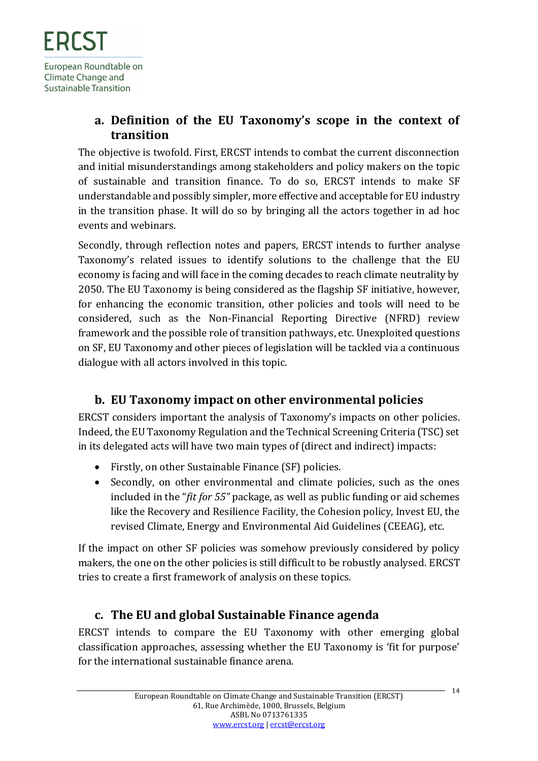### <span id="page-13-0"></span>**a. Definition of the EU Taxonomy's scope in the context of transition**

The objective is twofold. First, ERCST intends to combat the current disconnection and initial misunderstandings among stakeholders and policy makers on the topic of sustainable and transition finance. To do so, ERCST intends to make SF understandable and possibly simpler, more effective and acceptable for EU industry in the transition phase. It will do so by bringing all the actors together in ad hoc events and webinars.

Secondly, through reflection notes and papers, ERCST intends to further analyse Taxonomy's related issues to identify solutions to the challenge that the EU economy is facing and will face in the coming decades to reach climate neutrality by 2050. The EU Taxonomy is being considered as the flagship SF initiative, however, for enhancing the economic transition, other policies and tools will need to be considered, such as the Non-Financial Reporting Directive (NFRD) review framework and the possible role of transition pathways, etc. Unexploited questions on SF, EU Taxonomy and other pieces of legislation will be tackled via a continuous dialogue with all actors involved in this topic.

### <span id="page-13-1"></span>**b. EU Taxonomy impact on other environmental policies**

ERCST considers important the analysis of Taxonomy's impacts on other policies. Indeed, the EU Taxonomy Regulation and the Technical Screening Criteria (TSC) set in its delegated acts will have two main types of (direct and indirect) impacts:

- Firstly, on other Sustainable Finance (SF) policies.
- Secondly, on other environmental and climate policies, such as the ones included in the "*fit for 55"* package, as well as public funding or aid schemes like the Recovery and Resilience Facility, the Cohesion policy, Invest EU, the revised Climate, Energy and Environmental Aid Guidelines (CEEAG), etc.

If the impact on other SF policies was somehow previously considered by policy makers, the one on the other policies is still difficult to be robustly analysed. ERCST tries to create a first framework of analysis on these topics.

### <span id="page-13-2"></span>**c. The EU and global Sustainable Finance agenda**

ERCST intends to compare the EU Taxonomy with other emerging global classification approaches, assessing whether the EU Taxonomy is 'fit for purpose' for the international sustainable finance arena.

 $-14$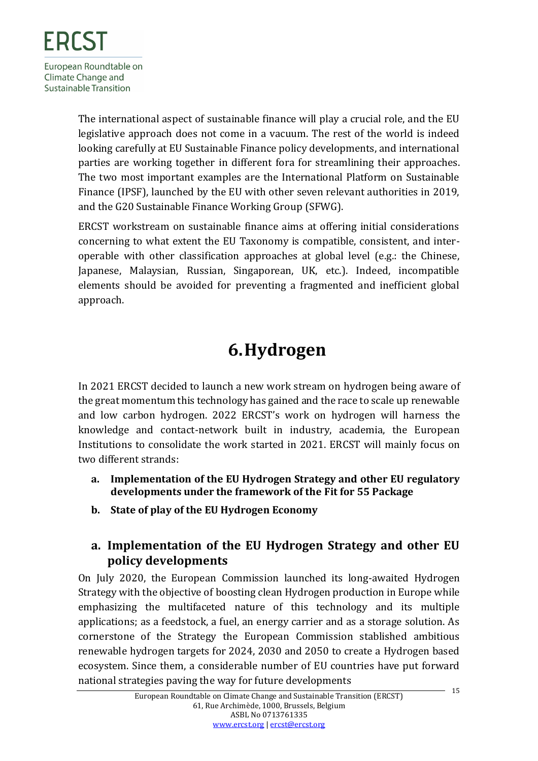The international aspect of sustainable finance will play a crucial role, and the EU legislative approach does not come in a vacuum. The rest of the world is indeed looking carefully at EU Sustainable Finance policy developments, and international parties are working together in different fora for streamlining their approaches. The two most important examples are the International Platform on Sustainable Finance (IPSF), launched by the EU with other seven relevant authorities in 2019, and the G20 Sustainable Finance Working Group (SFWG).

ERCST workstream on sustainable finance aims at offering initial considerations concerning to what extent the EU Taxonomy is compatible, consistent, and interoperable with other classification approaches at global level (e.g.: the Chinese, Japanese, Malaysian, Russian, Singaporean, UK, etc.). Indeed, incompatible elements should be avoided for preventing a fragmented and inefficient global approach.

# **6.Hydrogen**

<span id="page-14-0"></span>In 2021 ERCST decided to launch a new work stream on hydrogen being aware of the great momentum this technology has gained and the race to scale up renewable and low carbon hydrogen. 2022 ERCST's work on hydrogen will harness the knowledge and contact-network built in industry, academia, the European Institutions to consolidate the work started in 2021. ERCST will mainly focus on two different strands:

- **a. Implementation of the EU Hydrogen Strategy and other EU regulatory developments under the framework of the Fit for 55 Package**
- **b. State of play of the EU Hydrogen Economy**

### <span id="page-14-1"></span>**a. Implementation of the EU Hydrogen Strategy and other EU policy developments**

On July 2020, the European Commission launched its long-awaited Hydrogen Strategy with the objective of boosting clean Hydrogen production in Europe while emphasizing the multifaceted nature of this technology and its multiple applications; as a feedstock, a fuel, an energy carrier and as a storage solution. As cornerstone of the Strategy the European Commission stablished ambitious renewable hydrogen targets for 2024, 2030 and 2050 to create a Hydrogen based ecosystem. Since them, a considerable number of EU countries have put forward national strategies paving the way for future developments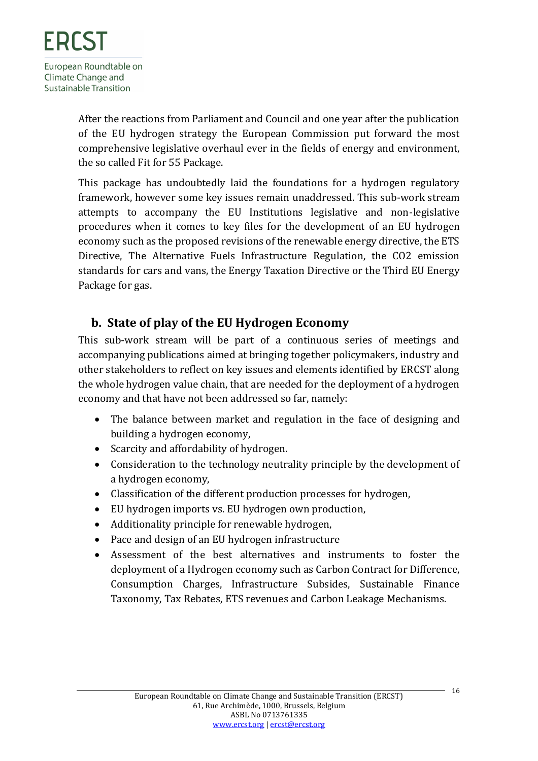After the reactions from Parliament and Council and one year after the publication of the EU hydrogen strategy the European Commission put forward the most comprehensive legislative overhaul ever in the fields of energy and environment, the so called Fit for 55 Package.

This package has undoubtedly laid the foundations for a hydrogen regulatory framework, however some key issues remain unaddressed. This sub-work stream attempts to accompany the EU Institutions legislative and non-legislative procedures when it comes to key files for the development of an EU hydrogen economy such as the proposed revisions of the renewable energy directive, the ETS Directive, The Alternative Fuels Infrastructure Regulation, the CO2 emission standards for cars and vans, the Energy Taxation Directive or the Third EU Energy Package for gas.

#### <span id="page-15-0"></span>**b. State of play of the EU Hydrogen Economy**

This sub-work stream will be part of a continuous series of meetings and accompanying publications aimed at bringing together policymakers, industry and other stakeholders to reflect on key issues and elements identified by ERCST along the whole hydrogen value chain, that are needed for the deployment of a hydrogen economy and that have not been addressed so far, namely:

- The balance between market and regulation in the face of designing and building a hydrogen economy,
- Scarcity and affordability of hydrogen.
- Consideration to the technology neutrality principle by the development of a hydrogen economy,
- Classification of the different production processes for hydrogen,
- EU hydrogen imports vs. EU hydrogen own production,
- Additionality principle for renewable hydrogen,
- Pace and design of an EU hydrogen infrastructure
- Assessment of the best alternatives and instruments to foster the deployment of a Hydrogen economy such as Carbon Contract for Difference, Consumption Charges, Infrastructure Subsides, Sustainable Finance Taxonomy, Tax Rebates, ETS revenues and Carbon Leakage Mechanisms.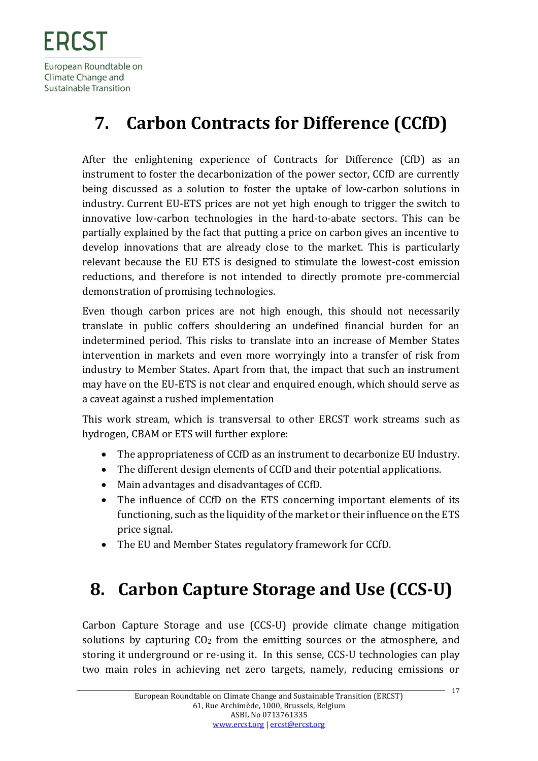# <span id="page-16-0"></span>**7. Carbon Contracts for Difference (CCfD)**

After the enlightening experience of Contracts for Difference (CfD) as an instrument to foster the decarbonization of the power sector, CCfD are currently being discussed as a solution to foster the uptake of low-carbon solutions in industry. Current EU-ETS prices are not yet high enough to trigger the switch to innovative low-carbon technologies in the hard-to-abate sectors. This can be partially explained by the fact that putting a price on carbon gives an incentive to develop innovations that are already close to the market. This is particularly relevant because the EU ETS is designed to stimulate the lowest-cost emission reductions, and therefore is not intended to directly promote pre-commercial demonstration of promising technologies.

Even though carbon prices are not high enough, this should not necessarily translate in public coffers shouldering an undefined financial burden for an indetermined period. This risks to translate into an increase of Member States intervention in markets and even more worryingly into a transfer of risk from industry to Member States. Apart from that, the impact that such an instrument may have on the EU-ETS is not clear and enquired enough, which should serve as a caveat against a rushed implementation

This work stream, which is transversal to other ERCST work streams such as hydrogen, CBAM or ETS will further explore:

- The appropriateness of CCfD as an instrument to decarbonize EU Industry.
- The different design elements of CCfD and their potential applications.
- Main advantages and disadvantages of CCfD.
- The influence of CCfD on the ETS concerning important elements of its functioning, such as the liquidity of the market or their influence on the ETS price signal.
- The EU and Member States regulatory framework for CCfD.

# <span id="page-16-1"></span>**8. Carbon Capture Storage and Use (CCS-U)**

Carbon Capture Storage and use (CCS-U) provide climate change mitigation solutions by capturing CO<sub>2</sub> from the emitting sources or the atmosphere, and storing it underground or re-using it. In this sense, CCS-U technologies can play two main roles in achieving net zero targets, namely, reducing emissions or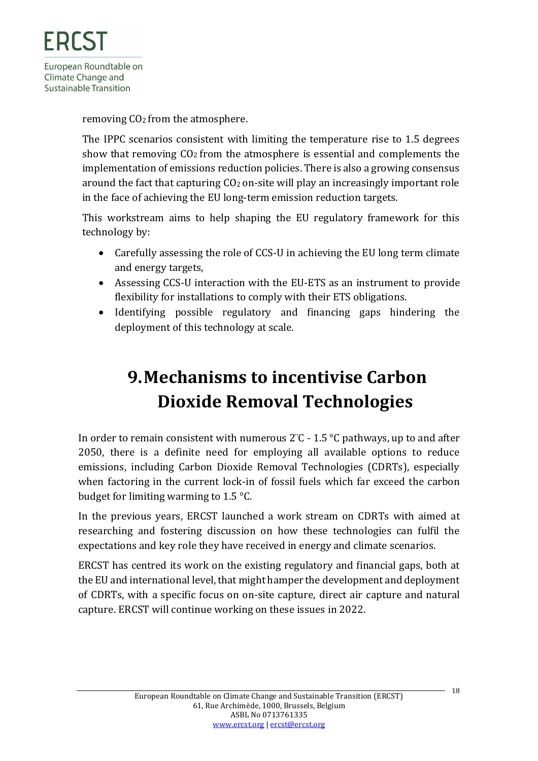removing CO2 from the atmosphere.

The IPPC scenarios consistent with limiting the temperature rise to 1.5 degrees show that removing  $CO<sub>2</sub>$  from the atmosphere is essential and complements the implementation of emissions reduction policies. There is also a growing consensus around the fact that capturing  $CO<sub>2</sub>$  on-site will play an increasingly important role in the face of achieving the EU long-term emission reduction targets.

This workstream aims to help shaping the EU regulatory framework for this technology by:

- Carefully assessing the role of CCS-U in achieving the EU long term climate and energy targets,
- Assessing CCS-U interaction with the EU-ETS as an instrument to provide flexibility for installations to comply with their ETS obligations.
- Identifying possible regulatory and financing gaps hindering the deployment of this technology at scale.

# <span id="page-17-0"></span>**9.Mechanisms to incentivise Carbon Dioxide Removal Technologies**

In order to remain consistent with numerous  $2^{\circ}$ C - 1.5  $^{\circ}$ C pathways, up to and after 2050, there is a definite need for employing all available options to reduce emissions, including Carbon Dioxide Removal Technologies (CDRTs), especially when factoring in the current lock-in of fossil fuels which far exceed the carbon budget for limiting warming to 1.5 °C.

In the previous years, ERCST launched a work stream on CDRTs with aimed at researching and fostering discussion on how these technologies can fulfil the expectations and key role they have received in energy and climate scenarios.

ERCST has centred its work on the existing regulatory and financial gaps, both at the EU and international level, that might hamper the development and deployment of CDRTs, with a specific focus on on-site capture, direct air capture and natural capture. ERCST will continue working on these issues in 2022.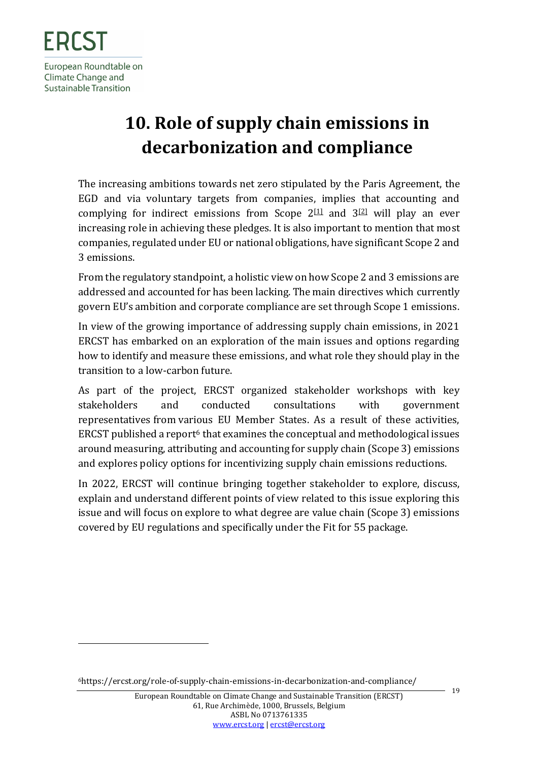# <span id="page-18-0"></span>**10. Role of supply chain emissions in decarbonization and compliance**

The increasing ambitions towards net zero stipulated by the Paris Agreement, the EGD and via voluntary targets from companies, implies that accounting and complying for indirect emissions from Scope  $2^{[1]}$  and  $3^{[2]}$  will play an ever increasing role in achieving these pledges. It is also important to mention that most companies, regulated under EU or national obligations, have significant Scope 2 and 3 emissions.

From the regulatory standpoint, a holistic view on how Scope 2 and 3 emissions are addressed and accounted for has been lacking. The main directives which currently govern EU's ambition and corporate compliance are set through Scope 1 emissions.

In view of the growing importance of addressing supply chain emissions, in 2021 ERCST has embarked on an exploration of the main issues and options regarding how to identify and measure these emissions, and what role they should play in the transition to a low-carbon future.

As part of the project, ERCST organized stakeholder workshops with key stakeholders and conducted consultations with government representatives from various EU Member States. As a result of these activities, ERCST published a report<sup>6</sup> that examines the conceptual and methodological issues around measuring, attributing and accounting for supply chain (Scope 3) emissions and explores policy options for incentivizing supply chain emissions reductions.

In 2022, ERCST will continue bringing together stakeholder to explore, discuss, explain and understand different points of view related to this issue exploring this issue and will focus on explore to what degree are value chain (Scope 3) emissions covered by EU regulations and specifically under the Fit for 55 package.

<sup>6</sup>https://ercst.org/role-of-supply-chain-emissions-in-decarbonization-and-compliance/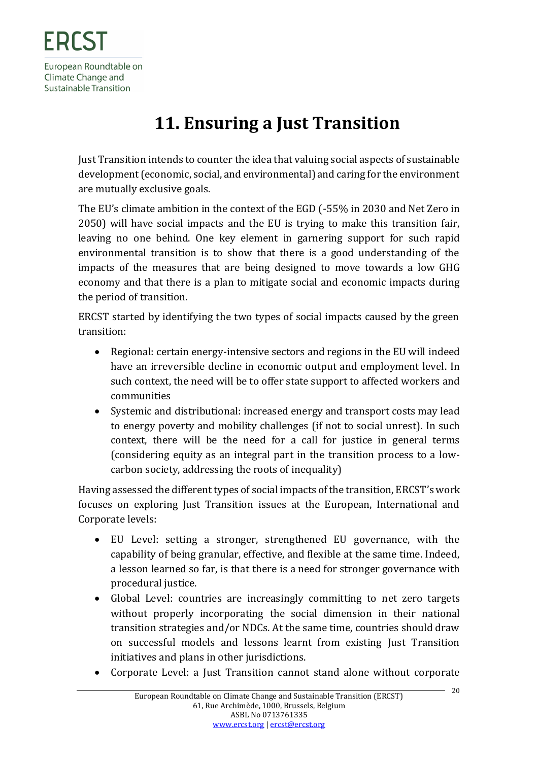# **11. Ensuring a Just Transition**

<span id="page-19-0"></span>Just Transition intends to counter the idea that valuing social aspects of sustainable development (economic, social, and environmental) and caring for the environment are mutually exclusive goals.

The EU's climate ambition in the context of the EGD (-55% in 2030 and Net Zero in 2050) will have social impacts and the EU is trying to make this transition fair, leaving no one behind. One key element in garnering support for such rapid environmental transition is to show that there is a good understanding of the impacts of the measures that are being designed to move towards a low GHG economy and that there is a plan to mitigate social and economic impacts during the period of transition.

ERCST started by identifying the two types of social impacts caused by the green transition:

- Regional: certain energy-intensive sectors and regions in the EU will indeed have an irreversible decline in economic output and employment level. In such context, the need will be to offer state support to affected workers and communities
- Systemic and distributional: increased energy and transport costs may lead to energy poverty and mobility challenges (if not to social unrest). In such context, there will be the need for a call for justice in general terms (considering equity as an integral part in the transition process to a lowcarbon society, addressing the roots of inequality)

Having assessed the different types of social impacts of the transition, ERCST's work focuses on exploring Just Transition issues at the European, International and Corporate levels:

- EU Level: setting a stronger, strengthened EU governance, with the capability of being granular, effective, and flexible at the same time. Indeed, a lesson learned so far, is that there is a need for stronger governance with procedural justice.
- Global Level: countries are increasingly committing to net zero targets without properly incorporating the social dimension in their national transition strategies and/or NDCs. At the same time, countries should draw on successful models and lessons learnt from existing Just Transition initiatives and plans in other jurisdictions.
- Corporate Level: a Just Transition cannot stand alone without corporate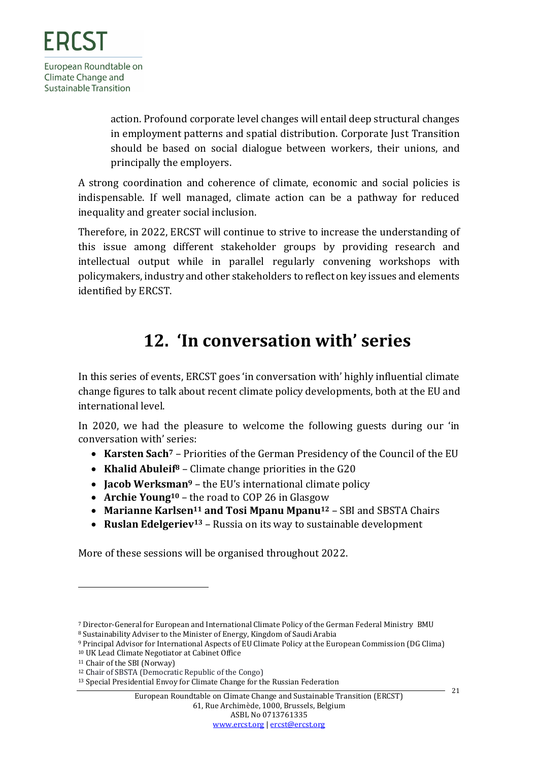action. Profound corporate level changes will entail deep structural changes in employment patterns and spatial distribution. Corporate Just Transition should be based on social dialogue between workers, their unions, and principally the employers.

A strong coordination and coherence of climate, economic and social policies is indispensable. If well managed, climate action can be a pathway for reduced inequality and greater social inclusion.

Therefore, in 2022, ERCST will continue to strive to increase the understanding of this issue among different stakeholder groups by providing research and intellectual output while in parallel regularly convening workshops with policymakers, industry and other stakeholders to reflect on key issues and elements identified by ERCST.

### **12. 'In conversation with' series**

<span id="page-20-0"></span>In this series of events, ERCST goes 'in conversation with' highly influential climate change figures to talk about recent climate policy developments, both at the EU and international level.

In 2020, we had the pleasure to welcome the following guests during our 'in conversation with' series:

- **Karsten Sach<sup>7</sup>** Priorities of the German Presidency of the Council of the EU
- **Khalid Abuleif<sup>8</sup>** Climate change priorities in the G20
- **Jacob Werksman<sup>9</sup>** the EU's international climate policy
- **Archie Young<sup>10</sup>** the road to COP 26 in Glasgow
- **Marianne Karlsen<sup>11</sup> and Tosi Mpanu Mpanu<sup>12</sup>** SBI and SBSTA Chairs
- <span id="page-20-1"></span>• **Ruslan Edelgeriev<sup>13</sup>** – Russia on its way to sustainable development

More of these sessions will be organised throughout 2022.

<sup>7</sup> Director-General for European and International Climate Policy of the German Federal Ministry BMU

<sup>8</sup> Sustainability Adviser to the Minister of Energy, Kingdom of Saudi Arabia

<sup>9</sup> Principal Advisor for International Aspects of EU Climate Policy at the European Commission (DG Clima)

<sup>10</sup> UK Lead Climate Negotiator at Cabinet Office

<sup>11</sup> Chair of the SBI (Norway)

<sup>12</sup> Chair of SBSTA (Democratic Republic of the Congo)

<sup>13</sup> Special Presidential Envoy for Climate Change for the Russian Federation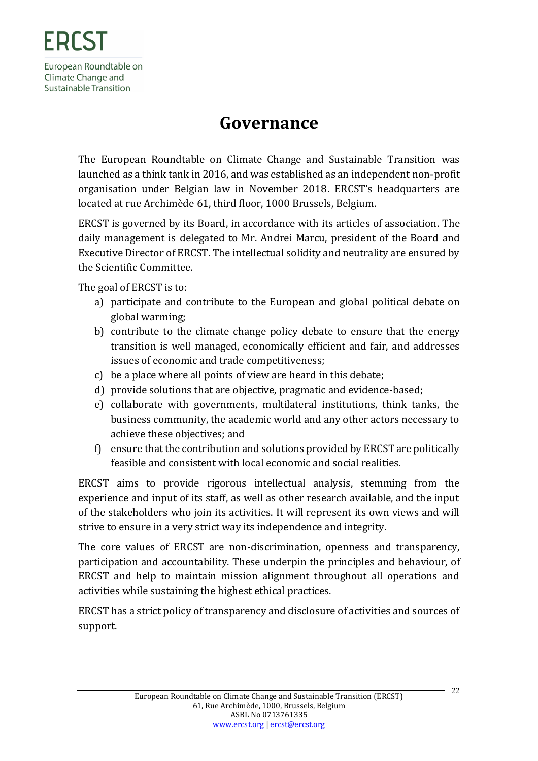### **Governance**

<span id="page-21-0"></span>The European Roundtable on Climate Change and Sustainable Transition was launched as a think tank in 2016, and was established as an independent non-profit organisation under Belgian law in November 2018. ERCST's headquarters are located at rue Archimède 61, third floor, 1000 Brussels, Belgium.

ERCST is governed by its Board, in accordance with its articles of association. The daily management is delegated to Mr. Andrei Marcu, president of the Board and Executive Director of ERCST. The intellectual solidity and neutrality are ensured by the Scientific Committee.

The goal of ERCST is to:

- a) participate and contribute to the European and global political debate on global warming;
- b) contribute to the climate change policy debate to ensure that the energy transition is well managed, economically efficient and fair, and addresses issues of economic and trade competitiveness;
- c) be a place where all points of view are heard in this debate;
- d) provide solutions that are objective, pragmatic and evidence-based;
- e) collaborate with governments, multilateral institutions, think tanks, the business community, the academic world and any other actors necessary to achieve these objectives; and
- f) ensure that the contribution and solutions provided by ERCST are politically feasible and consistent with local economic and social realities.

ERCST aims to provide rigorous intellectual analysis, stemming from the experience and input of its staff, as well as other research available, and the input of the stakeholders who join its activities. It will represent its own views and will strive to ensure in a very strict way its independence and integrity.

The core values of ERCST are non-discrimination, openness and transparency, participation and accountability. These underpin the principles and behaviour, of ERCST and help to maintain mission alignment throughout all operations and activities while sustaining the highest ethical practices.

ERCST has a strict policy of transparency and disclosure of activities and sources of support.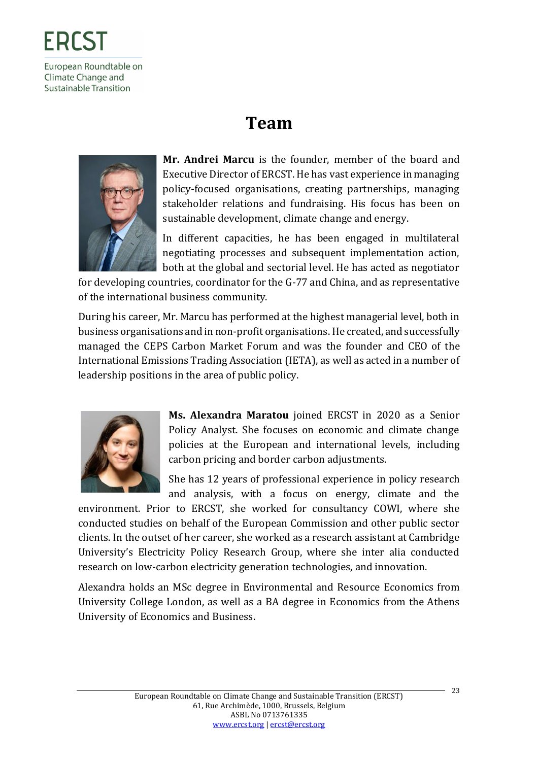# **Team**

<span id="page-22-0"></span>

**Mr. Andrei Marcu** is the founder, member of the board and Executive Director of ERCST. He has vast experience in managing policy-focused organisations, creating partnerships, managing stakeholder relations and fundraising. His focus has been on sustainable development, climate change and energy.

In different capacities, he has been engaged in multilateral negotiating processes and subsequent implementation action, both at the global and sectorial level. He has acted as negotiator

for developing countries, coordinator for the G-77 and China, and as representative of the international business community.

During his career, Mr. Marcu has performed at the highest managerial level, both in business organisations and in non-profit organisations. He created, and successfully managed the CEPS Carbon Market Forum and was the founder and CEO of the International Emissions Trading Association (IETA), as well as acted in a number of leadership positions in the area of public policy.



**Ms. Alexandra Maratou** joined ERCST in 2020 as a Senior Policy Analyst. She focuses on economic and climate change policies at the European and international levels, including carbon pricing and border carbon adjustments.

She has 12 years of professional experience in policy research and analysis, with a focus on energy, climate and the

environment. Prior to ERCST, she worked for consultancy COWI, where she conducted studies on behalf of the European Commission and other public sector clients. In the outset of her career, she worked as a research assistant at Cambridge University's Electricity Policy Research Group, where she inter alia conducted research on low-carbon electricity generation technologies, and innovation.

Alexandra holds an MSc degree in Environmental and Resource Economics from University College London, as well as a BA degree in Economics from the Athens University of Economics and Business.

23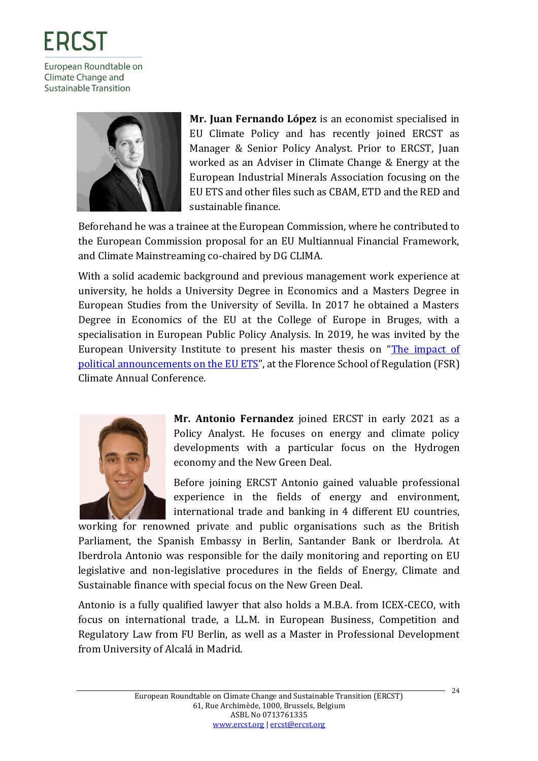

**Mr. Juan Fernando López** is an economist specialised in EU Climate Policy and has recently joined ERCST as Manager & Senior Policy Analyst. Prior to ERCST, Juan worked as an Adviser in Climate Change & Energy at the European Industrial Minerals Association focusing on the EU ETS and other files such as CBAM, ETD and the RED and sustainable finance.

Beforehand he was a trainee at the European Commission, where he contributed to the European Commission proposal for an EU Multiannual Financial Framework, and Climate Mainstreaming co-chaired by DG CLIMA.

With a solid academic background and previous management work experience at university, he holds a University Degree in Economics and a Masters Degree in European Studies from the University of Sevilla. In 2017 he obtained a Masters Degree in Economics of the EU at the College of Europe in Bruges, with a specialisation in European Public Policy Analysis. In 2019, he was invited by the European University Institute to present his master thesis on "[The impact of](https://fsr.eui.eu/event/fsr-climate-annual-conference-2019/)  [political announcements on the EU ETS](https://fsr.eui.eu/event/fsr-climate-annual-conference-2019/)", at the Florence School of Regulation (FSR) Climate Annual Conference.



**Mr. Antonio Fernandez** joined ERCST in early 2021 as a Policy Analyst. He focuses on energy and climate policy developments with a particular focus on the Hydrogen economy and the New Green Deal.

Before joining ERCST Antonio gained valuable professional experience in the fields of energy and environment, international trade and banking in 4 different EU countries,

working for renowned private and public organisations such as the British Parliament, the Spanish Embassy in Berlin, Santander Bank or Iberdrola. At Iberdrola Antonio was responsible for the daily monitoring and reporting on EU legislative and non-legislative procedures in the fields of Energy, Climate and Sustainable finance with special focus on the New Green Deal.

Antonio is a fully qualified lawyer that also holds a M.B.A. from ICEX-CECO, with focus on international trade, a LL.M. in European Business, Competition and Regulatory Law from FU Berlin, as well as a Master in Professional Development from University of Alcalá in Madrid.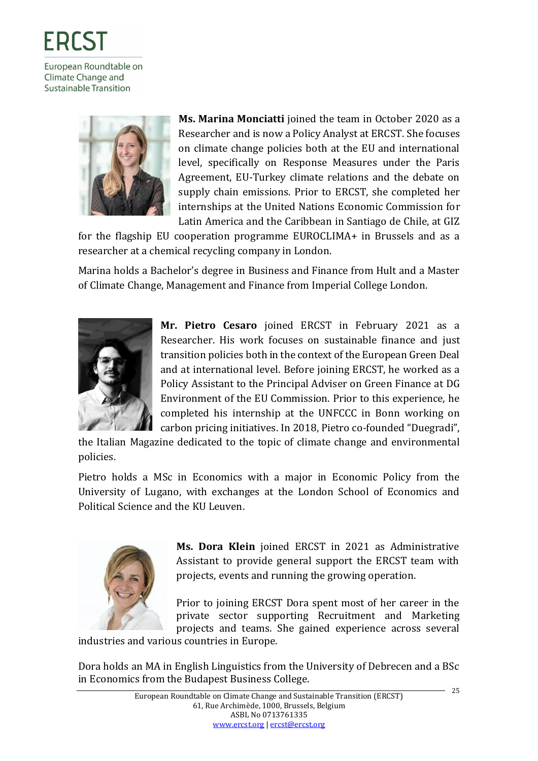

**Ms. Marina Monciatti** joined the team in October 2020 as a Researcher and is now a Policy Analyst at ERCST. She focuses on climate change policies both at the EU and international level, specifically on Response Measures under the Paris Agreement, EU-Turkey climate relations and the debate on supply chain emissions. Prior to ERCST, she completed her internships at the United Nations Economic Commission for Latin America and the Caribbean in Santiago de Chile, at GIZ

for the flagship EU cooperation programme EUROCLIMA+ in Brussels and as a researcher at a chemical recycling company in London.

Marina holds a Bachelor's degree in Business and Finance from Hult and a Master of Climate Change, Management and Finance from Imperial College London.



**Mr. Pietro Cesaro** joined ERCST in February 2021 as a Researcher. His work focuses on sustainable finance and just transition policies both in the context of the European Green Deal and at international level. Before joining ERCST, he worked as a Policy Assistant to the Principal Adviser on Green Finance at DG Environment of the EU Commission. Prior to this experience, he completed his internship at the UNFCCC in Bonn working on carbon pricing initiatives. In 2018, Pietro co-founded "Duegradi",

the Italian Magazine dedicated to the topic of climate change and environmental policies.

Pietro holds a MSc in Economics with a major in Economic Policy from the University of Lugano, with exchanges at the London School of Economics and Political Science and the KU Leuven.



**Ms. Dora Klein** joined ERCST in 2021 as Administrative Assistant to provide general support the ERCST team with projects, events and running the growing operation.

Prior to joining ERCST Dora spent most of her career in the private sector supporting Recruitment and Marketing projects and teams. She gained experience across several

industries and various countries in Europe.

Dora holds an MA in English Linguistics from the University of Debrecen and a BSc in Economics from the Budapest Business College.

25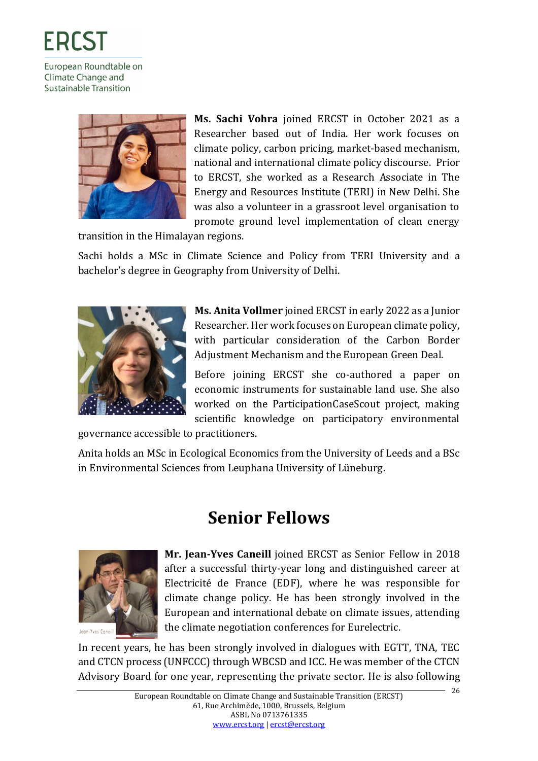

**Ms. Sachi Vohra** joined ERCST in October 2021 as a Researcher based out of India. Her work focuses on climate policy, carbon pricing, market-based mechanism, national and international climate policy discourse. Prior to ERCST, she worked as a Research Associate in The Energy and Resources Institute (TERI) in New Delhi. She was also a volunteer in a grassroot level organisation to promote ground level implementation of clean energy

transition in the Himalayan regions.

Sachi holds a MSc in Climate Science and Policy from TERI University and a bachelor's degree in Geography from University of Delhi.



**Ms. Anita Vollmer** joined ERCST in early 2022 as a Junior Researcher. Her work focuses on European climate policy, with particular consideration of the Carbon Border Adjustment Mechanism and the European Green Deal.

Before joining ERCST she co-authored a paper on economic instruments for sustainable land use. She also worked on the ParticipationCaseScout project, making scientific knowledge on participatory environmental

governance accessible to practitioners.

Anita holds an MSc in Ecological Economics from the University of Leeds and a BSc in Environmental Sciences from Leuphana University of Lüneburg.

### **Senior Fellows**

<span id="page-25-0"></span>

**Mr. Jean-Yves Caneill** joined ERCST as Senior Fellow in 2018 after a successful thirty-year long and distinguished career at Electricité de France (EDF), where he was responsible for climate change policy. He has been strongly involved in the European and international debate on climate issues, attending the climate negotiation conferences for Eurelectric.

In recent years, he has been strongly involved in dialogues with EGTT, TNA, TEC and CTCN process (UNFCCC) through WBCSD and ICC. He was member of the CTCN Advisory Board for one year, representing the private sector. He is also following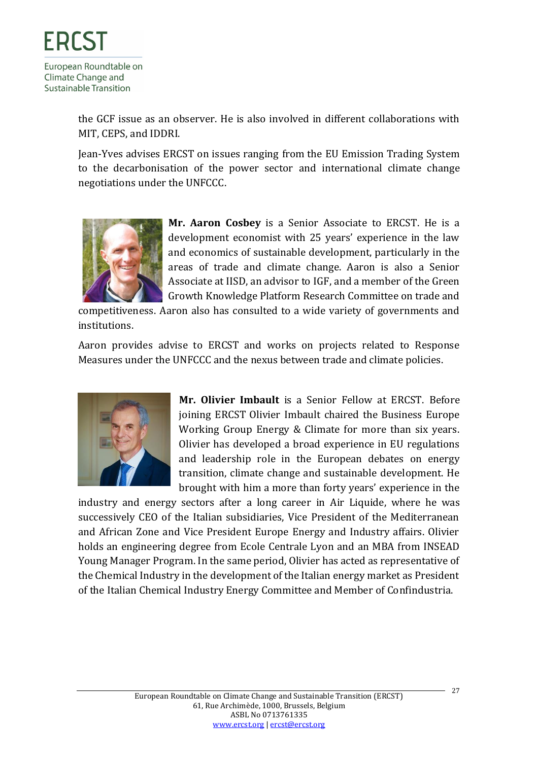the GCF issue as an observer. He is also involved in different collaborations with MIT, CEPS, and IDDRI.

Jean-Yves advises ERCST on issues ranging from the EU Emission Trading System to the decarbonisation of the power sector and international climate change negotiations under the UNFCCC.



**Mr. Aaron Cosbey** is a Senior Associate to ERCST. He is a development economist with 25 years' experience in the law and economics of sustainable development, particularly in the areas of trade and climate change. Aaron is also a Senior Associate at IISD, an advisor to IGF, and a member of the Green Growth Knowledge Platform Research Committee on trade and

competitiveness. Aaron also has consulted to a wide variety of governments and institutions.

Aaron provides advise to ERCST and works on projects related to Response Measures under the UNFCCC and the nexus between trade and climate policies.



**Mr. Olivier Imbault** is a Senior Fellow at ERCST. Before joining ERCST Olivier Imbault chaired the Business Europe Working Group Energy & Climate for more than six years. Olivier has developed a broad experience in EU regulations and leadership role in the European debates on energy transition, climate change and sustainable development. He brought with him a more than forty years' experience in the

industry and energy sectors after a long career in Air Liquide, where he was successively CEO of the Italian subsidiaries, Vice President of the Mediterranean and African Zone and Vice President Europe Energy and Industry affairs. Olivier holds an engineering degree from Ecole Centrale Lyon and an MBA from INSEAD Young Manager Program. In the same period, Olivier has acted as representative of the Chemical Industry in the development of the Italian energy market as President of the Italian Chemical Industry Energy Committee and Member of Confindustria.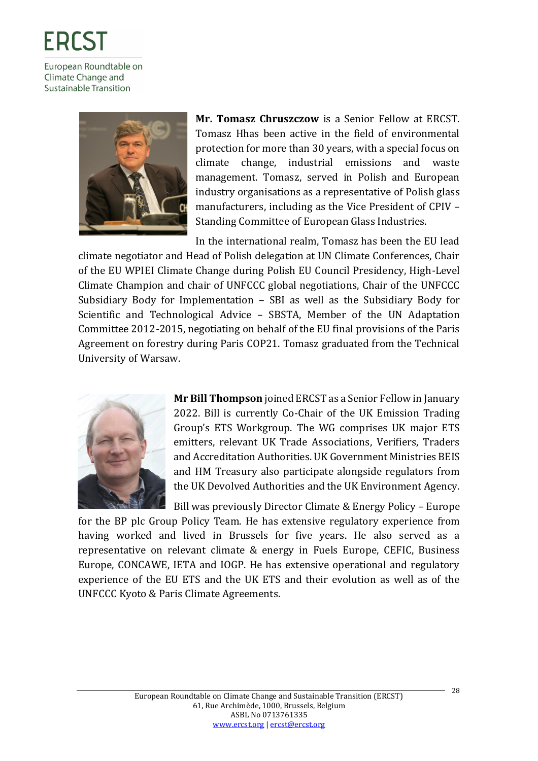

**Mr. Tomasz Chruszczow** is a Senior Fellow at ERCST. Tomasz Hhas been active in the field of environmental protection for more than 30 years, with a special focus on climate change, industrial emissions and waste management. Tomasz, served in Polish and European industry organisations as a representative of Polish glass manufacturers, including as the Vice President of CPIV – Standing Committee of European Glass Industries.

In the international realm, Tomasz has been the EU lead climate negotiator and Head of Polish delegation at UN Climate Conferences, Chair of the EU WPIEI Climate Change during Polish EU Council Presidency, High-Level Climate Champion and chair of UNFCCC global negotiations, Chair of the UNFCCC Subsidiary Body for Implementation – SBI as well as the Subsidiary Body for Scientific and Technological Advice – SBSTA, Member of the UN Adaptation Committee 2012-2015, negotiating on behalf of the EU final provisions of the Paris Agreement on forestry during Paris COP21. Tomasz graduated from the Technical University of Warsaw.



**Mr Bill Thompson** joined ERCST as a Senior Fellow in January 2022. Bill is currently Co-Chair of the UK Emission Trading Group's ETS Workgroup. The WG comprises UK major ETS emitters, relevant UK Trade Associations, Verifiers, Traders and Accreditation Authorities. UK Government Ministries BEIS and HM Treasury also participate alongside regulators from the UK Devolved Authorities and the UK Environment Agency.

Bill was previously Director Climate & Energy Policy – Europe for the BP plc Group Policy Team. He has extensive regulatory experience from having worked and lived in Brussels for five years. He also served as a representative on relevant climate & energy in Fuels Europe, CEFIC, Business Europe, CONCAWE, IETA and IOGP. He has extensive operational and regulatory experience of the EU ETS and the UK ETS and their evolution as well as of the UNFCCC Kyoto & Paris Climate Agreements.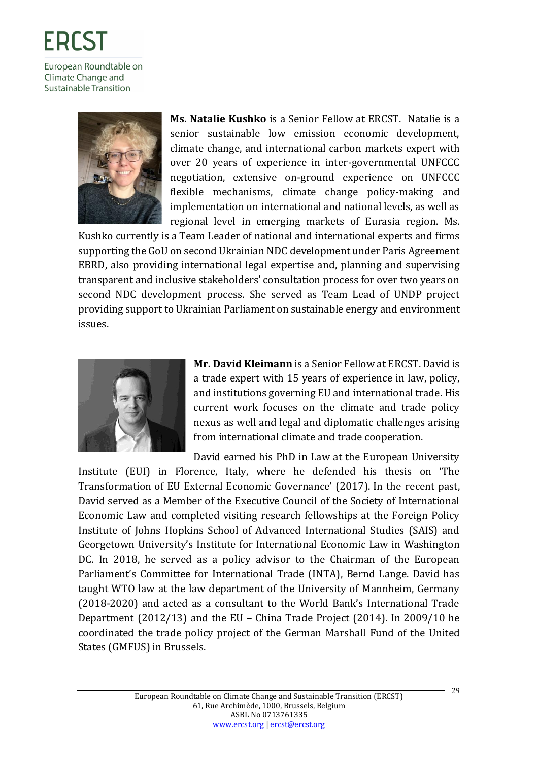

**Sustainable Transition** 

**Ms. Natalie Kushko** is a Senior Fellow at ERCST. Natalie is a senior sustainable low emission economic development, climate change, and international carbon markets expert with over 20 years of experience in inter-governmental UNFCCC negotiation, extensive on-ground experience on UNFCCC flexible mechanisms, climate change policy-making and implementation on international and national levels, as well as regional level in emerging markets of Eurasia region. Ms.

Kushko currently is a Team Leader of national and international experts and firms supporting the GoU on second Ukrainian NDC development under Paris Agreement EBRD, also providing international legal expertise and, planning and supervising transparent and inclusive stakeholders' consultation process for over two years on second NDC development process. She served as Team Lead of UNDP project providing support to Ukrainian Parliament on sustainable energy and environment issues.



**Mr. David Kleimann** is a Senior Fellow at ERCST. David is a trade expert with 15 years of experience in law, policy, and institutions governing EU and international trade. His current work focuses on the climate and trade policy nexus as well and legal and diplomatic challenges arising from international climate and trade cooperation.

David earned his PhD in Law at the European University

Institute (EUI) in Florence, Italy, where he defended his thesis on 'The Transformation of EU External Economic Governance' (2017). In the recent past, David served as a Member of the Executive Council of the Society of International Economic Law and completed visiting research fellowships at the Foreign Policy Institute of Johns Hopkins School of Advanced International Studies (SAIS) and Georgetown University's Institute for International Economic Law in Washington DC. In 2018, he served as a policy advisor to the Chairman of the European Parliament's Committee for International Trade (INTA), Bernd Lange. David has taught WTO law at the law department of the University of Mannheim, Germany (2018-2020) and acted as a consultant to the World Bank's International Trade Department (2012/13) and the EU – China Trade Project (2014). In 2009/10 he coordinated the trade policy project of the German Marshall Fund of the United States (GMFUS) in Brussels.

29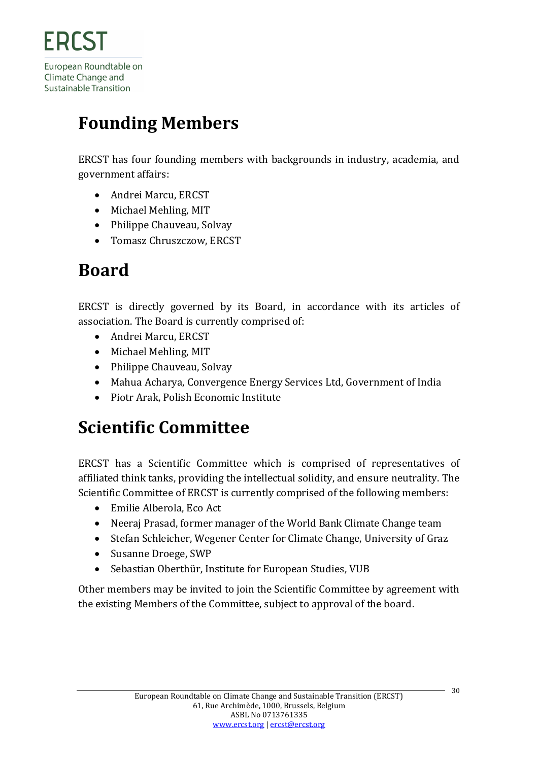# <span id="page-29-0"></span>**Founding Members**

ERCST has four founding members with backgrounds in industry, academia, and government affairs:

- Andrei Marcu, ERCST
- Michael Mehling, MIT
- Philippe Chauveau, Solvay
- Tomasz Chruszczow, ERCST

# <span id="page-29-1"></span>**Board**

ERCST is directly governed by its Board, in accordance with its articles of association. The Board is currently comprised of:

- Andrei Marcu, ERCST
- Michael Mehling, MIT
- Philippe Chauveau, Solvay
- Mahua Acharya, Convergence Energy Services Ltd, Government of India
- Piotr Arak, Polish Economic Institute

# <span id="page-29-2"></span>**Scientific Committee**

ERCST has a Scientific Committee which is comprised of representatives of affiliated think tanks, providing the intellectual solidity, and ensure neutrality. The Scientific Committee of ERCST is currently comprised of the following members:

- Emilie Alberola, Eco Act
- Neeraj Prasad, former manager of the World Bank Climate Change team
- Stefan Schleicher, Wegener Center for Climate Change, University of Graz
- Susanne Droege, SWP
- Sebastian Oberthür, Institute for European Studies, VUB

Other members may be invited to join the Scientific Committee by agreement with the existing Members of the Committee, subject to approval of the board.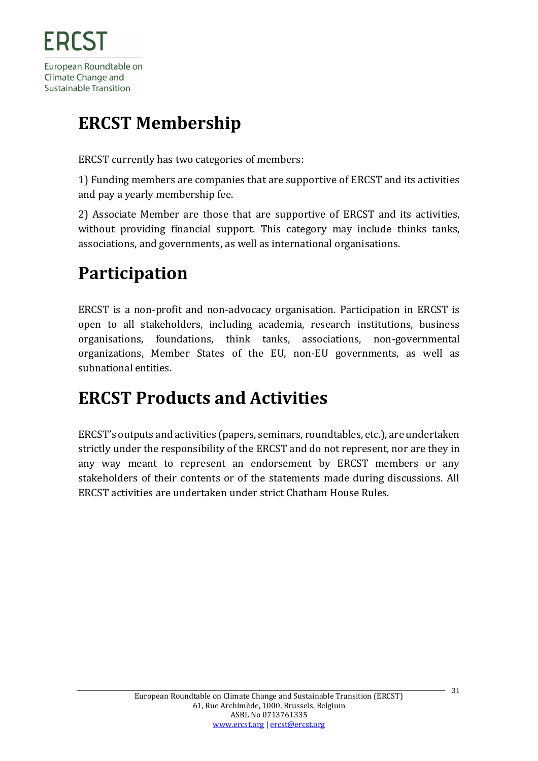# <span id="page-30-0"></span>**ERCST Membership**

ERCST currently has two categories of members:

1) Funding members are companies that are supportive of ERCST and its activities and pay a yearly membership fee.

2) Associate Member are those that are supportive of ERCST and its activities, without providing financial support. This category may include thinks tanks, associations, and governments, as well as international organisations.

# <span id="page-30-1"></span>**Participation**

ERCST is a non-profit and non-advocacy organisation. Participation in ERCST is open to all stakeholders, including academia, research institutions, business organisations, foundations, think tanks, associations, non-governmental organizations, Member States of the EU, non-EU governments, as well as subnational entities.

# <span id="page-30-2"></span>**ERCST Products and Activities**

ERCST's outputs and activities (papers, seminars, roundtables, etc.), are undertaken strictly under the responsibility of the ERCST and do not represent, nor are they in any way meant to represent an endorsement by ERCST members or any stakeholders of their contents or of the statements made during discussions. All ERCST activities are undertaken under strict Chatham House Rules.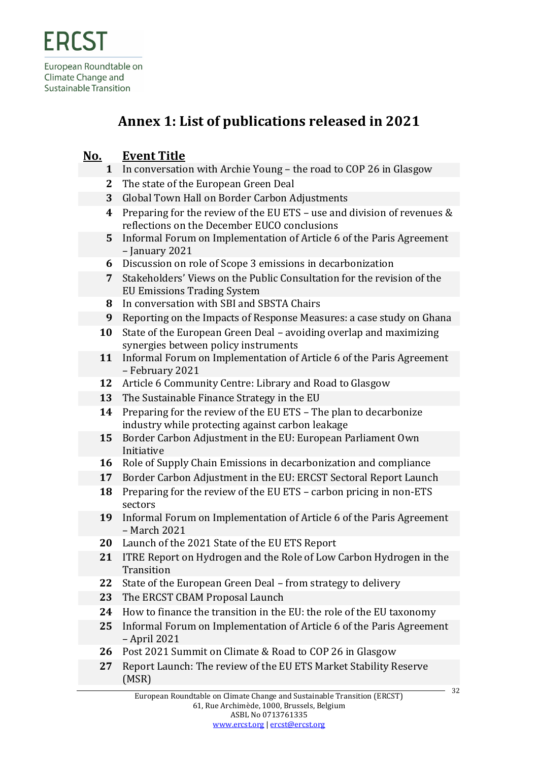### **Annex 1: List of publications released in 2021**

### <span id="page-31-0"></span>**No. Event Title**

- **1** In conversation with Archie Young the road to COP 26 in Glasgow
- **2** The state of the European Green Deal
- **3** Global Town Hall on Border Carbon Adjustments
- **4** Preparing for the review of the EU ETS use and division of revenues & reflections on the December EUCO conclusions
- **5** Informal Forum on Implementation of Article 6 of the Paris Agreement – January 2021
- **6** Discussion on role of Scope 3 emissions in decarbonization
- **7** Stakeholders' Views on the Public Consultation for the revision of the EU Emissions Trading System
- **8** In conversation with SBI and SBSTA Chairs
- **9** Reporting on the Impacts of Response Measures: a case study on Ghana
- **10** State of the European Green Deal avoiding overlap and maximizing synergies between policy instruments
- **11** Informal Forum on Implementation of Article 6 of the Paris Agreement – February 2021
- **12** Article 6 Community Centre: Library and Road to Glasgow
- **13** The Sustainable Finance Strategy in the EU
- **14** Preparing for the review of the EU ETS The plan to decarbonize industry while protecting against carbon leakage
- **15** Border Carbon Adjustment in the EU: European Parliament Own Initiative
- **16** Role of Supply Chain Emissions in decarbonization and compliance
- **17** Border Carbon Adjustment in the EU: ERCST Sectoral Report Launch
- **18** Preparing for the review of the EU ETS carbon pricing in non-ETS sectors
- **19** Informal Forum on Implementation of Article 6 of the Paris Agreement – March 2021
- **20** Launch of the 2021 State of the EU ETS Report
- **21** ITRE Report on Hydrogen and the Role of Low Carbon Hydrogen in the **Transition**
- **22** State of the European Green Deal from strategy to delivery
- **23** The ERCST CBAM Proposal Launch
- **24** How to finance the transition in the EU: the role of the EU taxonomy
- **25** Informal Forum on Implementation of Article 6 of the Paris Agreement – April 2021
- **26** Post 2021 Summit on Climate & Road to COP 26 in Glasgow
- **27** Report Launch: The review of the EU ETS Market Stability Reserve (MSR)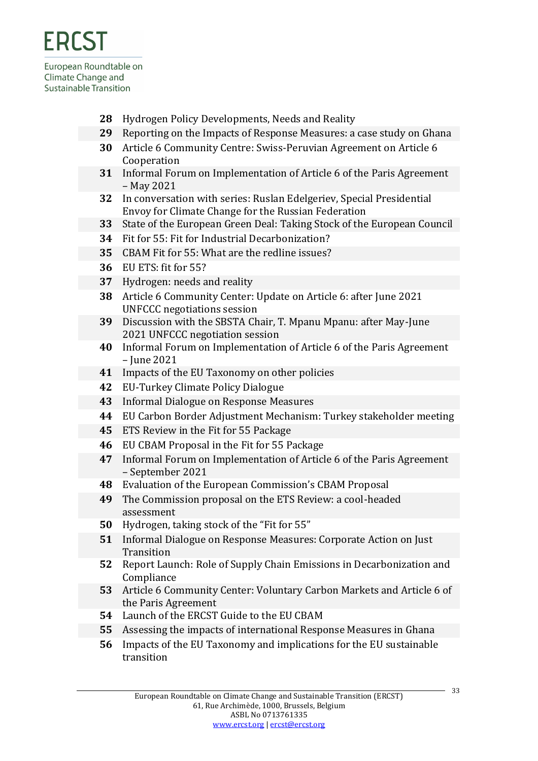- Hydrogen Policy Developments, Needs and Reality
- Reporting on the Impacts of Response Measures: a case study on Ghana
- Article 6 Community Centre: Swiss-Peruvian Agreement on Article 6 Cooperation
- Informal Forum on Implementation of Article 6 of the Paris Agreement – May 2021
- In conversation with series: Ruslan Edelgeriev, Special Presidential Envoy for Climate Change for the Russian Federation
- State of the European Green Deal: Taking Stock of the European Council
- Fit for 55: Fit for Industrial Decarbonization?
- CBAM Fit for 55: What are the redline issues?
- EU ETS: fit for 55?
- Hydrogen: needs and reality
- Article 6 Community Center: Update on Article 6: after June 2021 UNFCCC negotiations session
- Discussion with the SBSTA Chair, T. Mpanu Mpanu: after May-June 2021 UNFCCC negotiation session
- Informal Forum on Implementation of Article 6 of the Paris Agreement – June 2021
- Impacts of the EU Taxonomy on other policies
- EU-Turkey Climate Policy Dialogue
- Informal Dialogue on Response Measures
- EU Carbon Border Adjustment Mechanism: Turkey stakeholder meeting
- ETS Review in the Fit for 55 Package
- EU CBAM Proposal in the Fit for 55 Package
- Informal Forum on Implementation of Article 6 of the Paris Agreement – September 2021
- Evaluation of the European Commission's CBAM Proposal
- The Commission proposal on the ETS Review: a cool-headed assessment
- Hydrogen, taking stock of the "Fit for 55"
- Informal Dialogue on Response Measures: Corporate Action on Just **Transition**
- Report Launch: Role of Supply Chain Emissions in Decarbonization and Compliance
- Article 6 Community Center: Voluntary Carbon Markets and Article 6 of the Paris Agreement
- Launch of the ERCST Guide to the EU CBAM
- Assessing the impacts of international Response Measures in Ghana
- Impacts of the EU Taxonomy and implications for the EU sustainable transition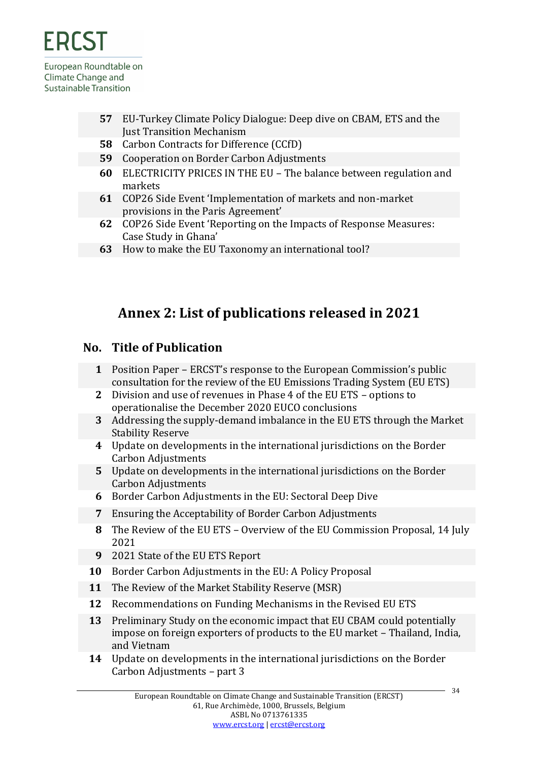

- **57** EU-Turkey Climate Policy Dialogue: Deep dive on CBAM, ETS and the Just Transition Mechanism
- **58** Carbon Contracts for Difference (CCfD)
- **59** Cooperation on Border Carbon Adjustments
- **60** ELECTRICITY PRICES IN THE EU The balance between regulation and markets
- **61** COP26 Side Event 'Implementation of markets and non-market provisions in the Paris Agreement'
- **62** COP26 Side Event 'Reporting on the Impacts of Response Measures: Case Study in Ghana'
- **63** How to make the EU Taxonomy an international tool?

### **Annex 2: List of publications released in 2021**

### <span id="page-33-0"></span>**No. Title of Publication**

- **1** Position Paper ERCST's response to the European Commission's public consultation for the review of the EU Emissions Trading System (EU ETS)
- **2** Division and use of revenues in Phase 4 of the EU ETS options to operationalise the December 2020 EUCO conclusions
- **3** Addressing the supply-demand imbalance in the EU ETS through the Market Stability Reserve
- **4** Update on developments in the international jurisdictions on the Border Carbon Adjustments
- **5** Update on developments in the international jurisdictions on the Border Carbon Adjustments
- **6** Border Carbon Adjustments in the EU: Sectoral Deep Dive
- **7** Ensuring the Acceptability of Border Carbon Adjustments
- **8** The Review of the EU ETS Overview of the EU Commission Proposal, 14 July 2021
- **9** 2021 State of the EU ETS Report
- **10** Border Carbon Adjustments in the EU: A Policy Proposal
- **11** The Review of the Market Stability Reserve (MSR)
- **12** Recommendations on Funding Mechanisms in the Revised EU ETS
- **13** Preliminary Study on the economic impact that EU CBAM could potentially impose on foreign exporters of products to the EU market – Thailand, India, and Vietnam
- **14** Update on developments in the international jurisdictions on the Border Carbon Adjustments – part 3